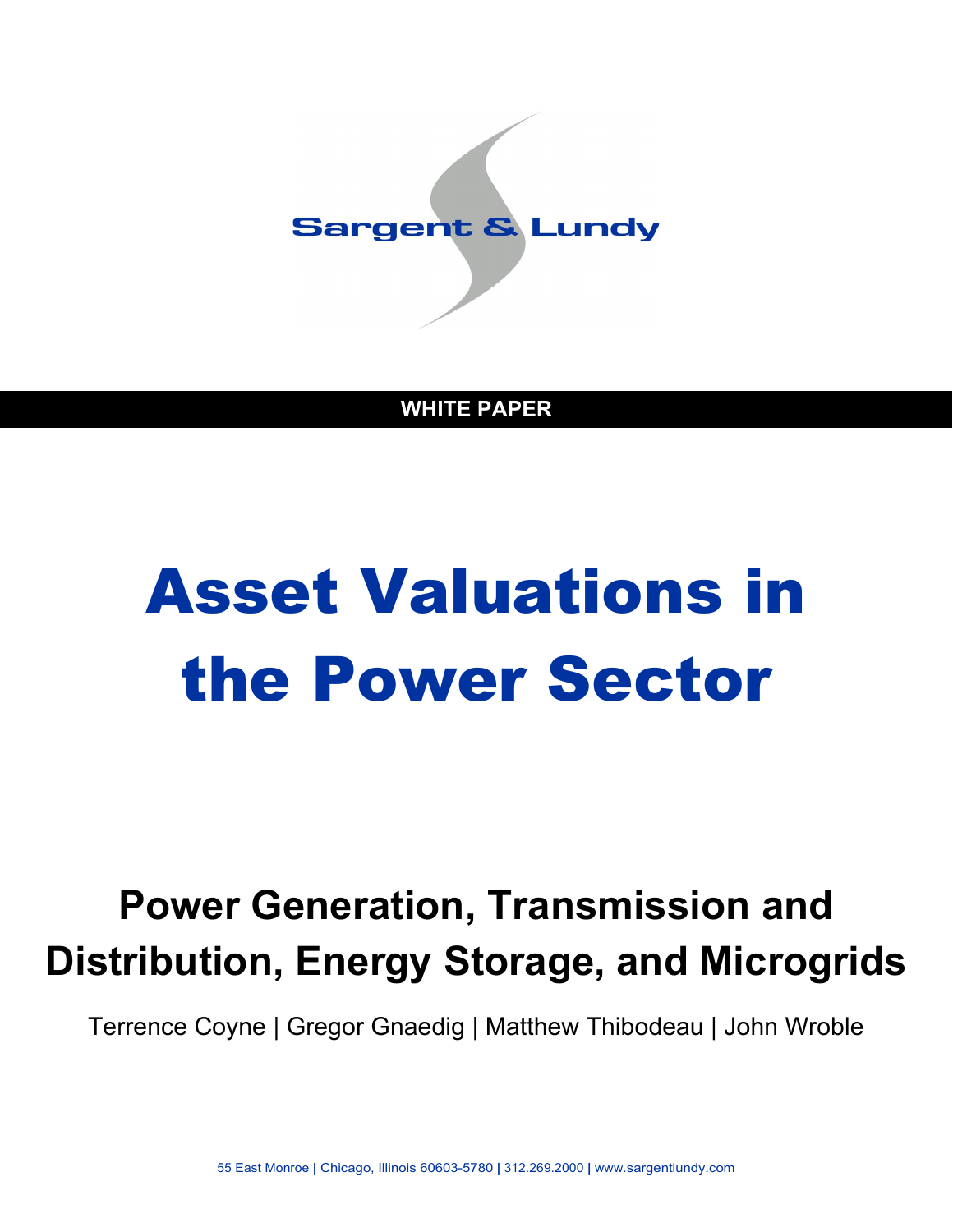

**WHITE PAPER**

# Asset Valuations in the Power Sector

## **Power Generation, Transmission and Distribution, Energy Storage, and Microgrids**

Terrence Coyne | Gregor Gnaedig | Matthew Thibodeau | John Wroble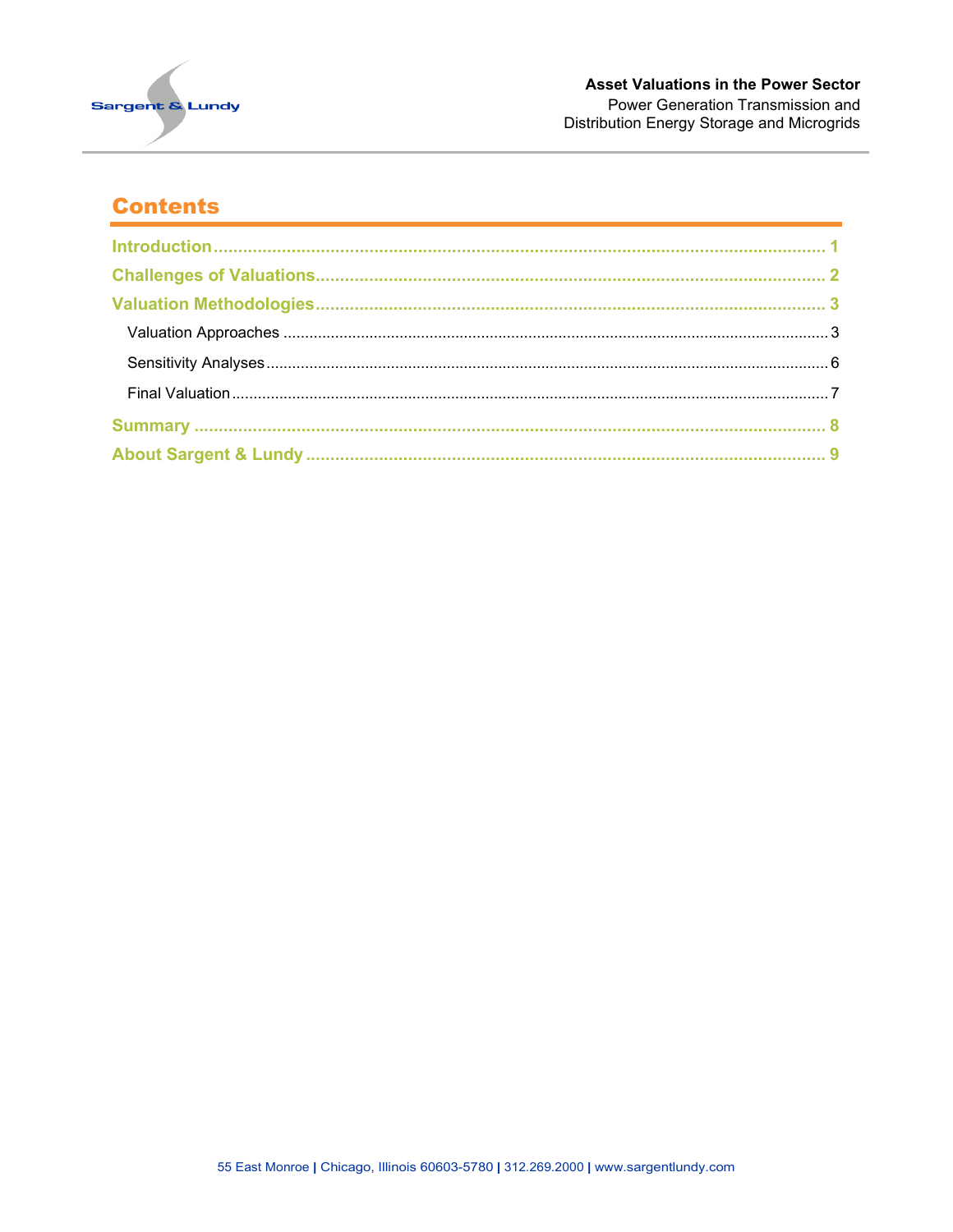

#### **Contents**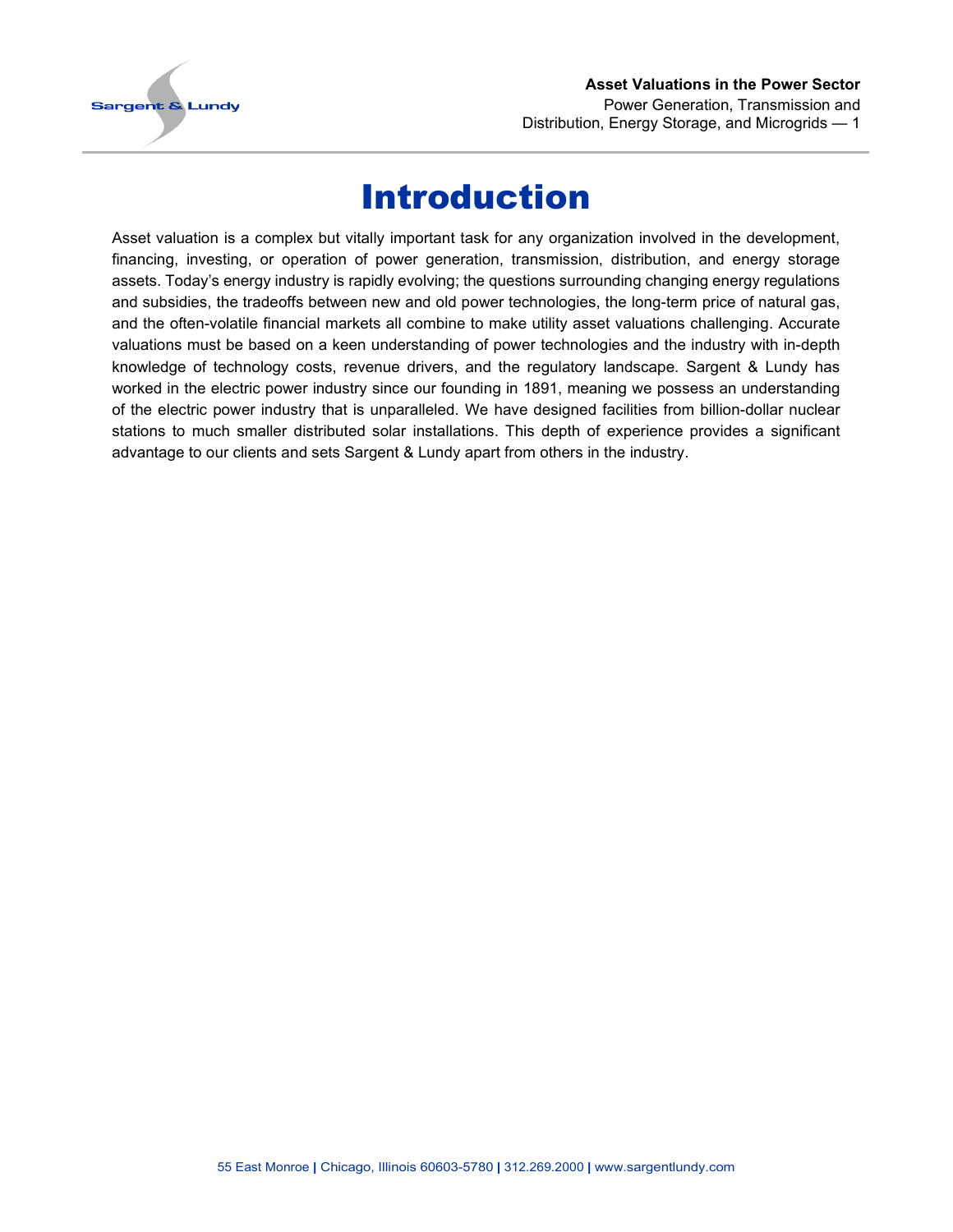

#### **Asset Valuations in the Power Sector** Power Generation, Transmission and Distribution, Energy Storage, and Microgrids — 1

## Introduction

<span id="page-2-0"></span>Asset valuation is a complex but vitally important task for any organization involved in the development, financing, investing, or operation of power generation, transmission, distribution, and energy storage assets. Today's energy industry is rapidly evolving; the questions surrounding changing energy regulations and subsidies, the tradeoffs between new and old power technologies, the long-term price of natural gas, and the often-volatile financial markets all combine to make utility asset valuations challenging. Accurate valuations must be based on a keen understanding of power technologies and the industry with in-depth knowledge of technology costs, revenue drivers, and the regulatory landscape. Sargent & Lundy has worked in the electric power industry since our founding in 1891, meaning we possess an understanding of the electric power industry that is unparalleled. We have designed facilities from billion-dollar nuclear stations to much smaller distributed solar installations. This depth of experience provides a significant advantage to our clients and sets Sargent & Lundy apart from others in the industry.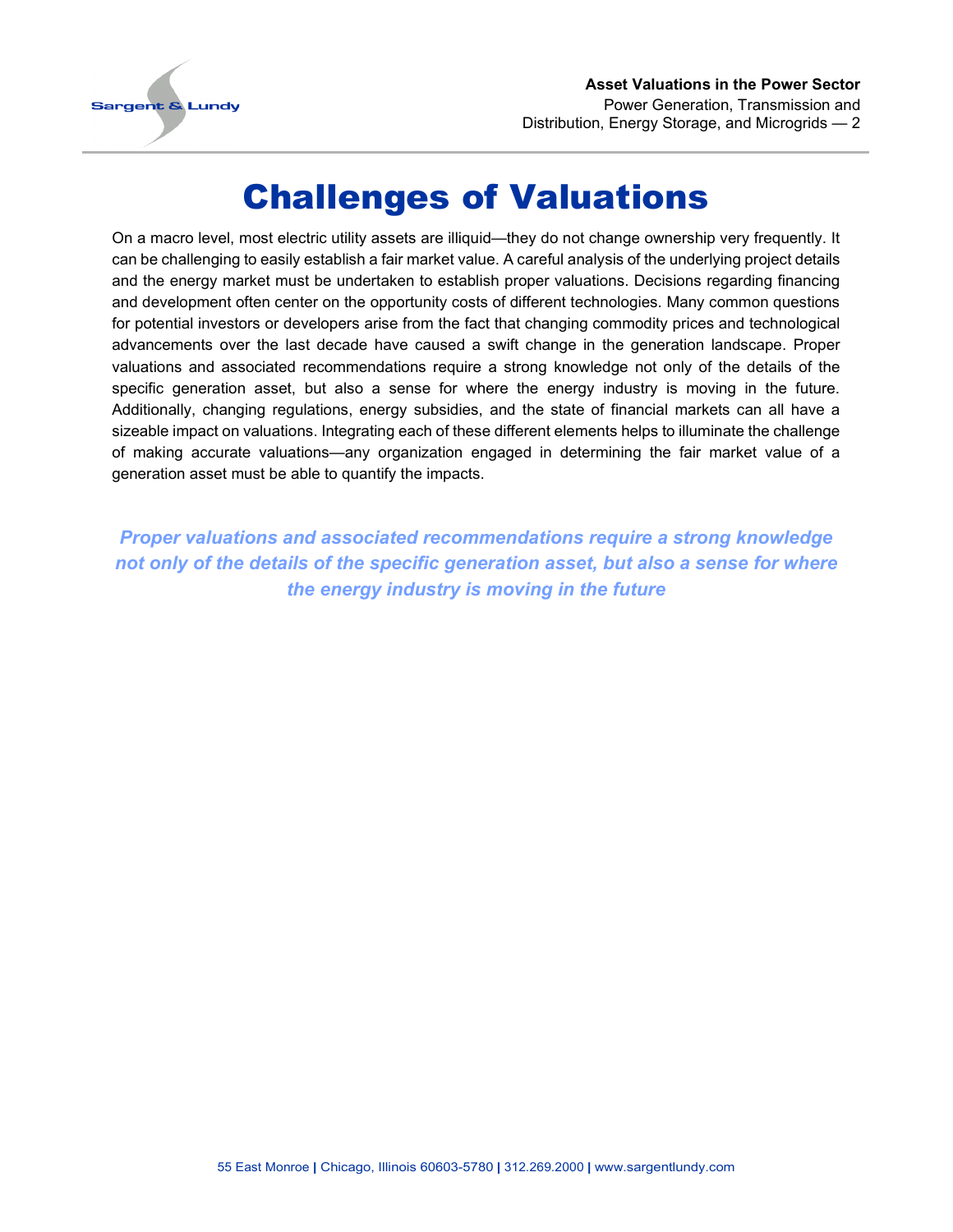

## Challenges of Valuations

<span id="page-3-0"></span>On a macro level, most electric utility assets are illiquid—they do not change ownership very frequently. It can be challenging to easily establish a fair market value. A careful analysis of the underlying project details and the energy market must be undertaken to establish proper valuations. Decisions regarding financing and development often center on the opportunity costs of different technologies. Many common questions for potential investors or developers arise from the fact that changing commodity prices and technological advancements over the last decade have caused a swift change in the generation landscape. Proper valuations and associated recommendations require a strong knowledge not only of the details of the specific generation asset, but also a sense for where the energy industry is moving in the future. Additionally, changing regulations, energy subsidies, and the state of financial markets can all have a sizeable impact on valuations. Integrating each of these different elements helps to illuminate the challenge of making accurate valuations—any organization engaged in determining the fair market value of a generation asset must be able to quantify the impacts.

*Proper valuations and associated recommendations require a strong knowledge not only of the details of the specific generation asset, but also a sense for where the energy industry is moving in the future*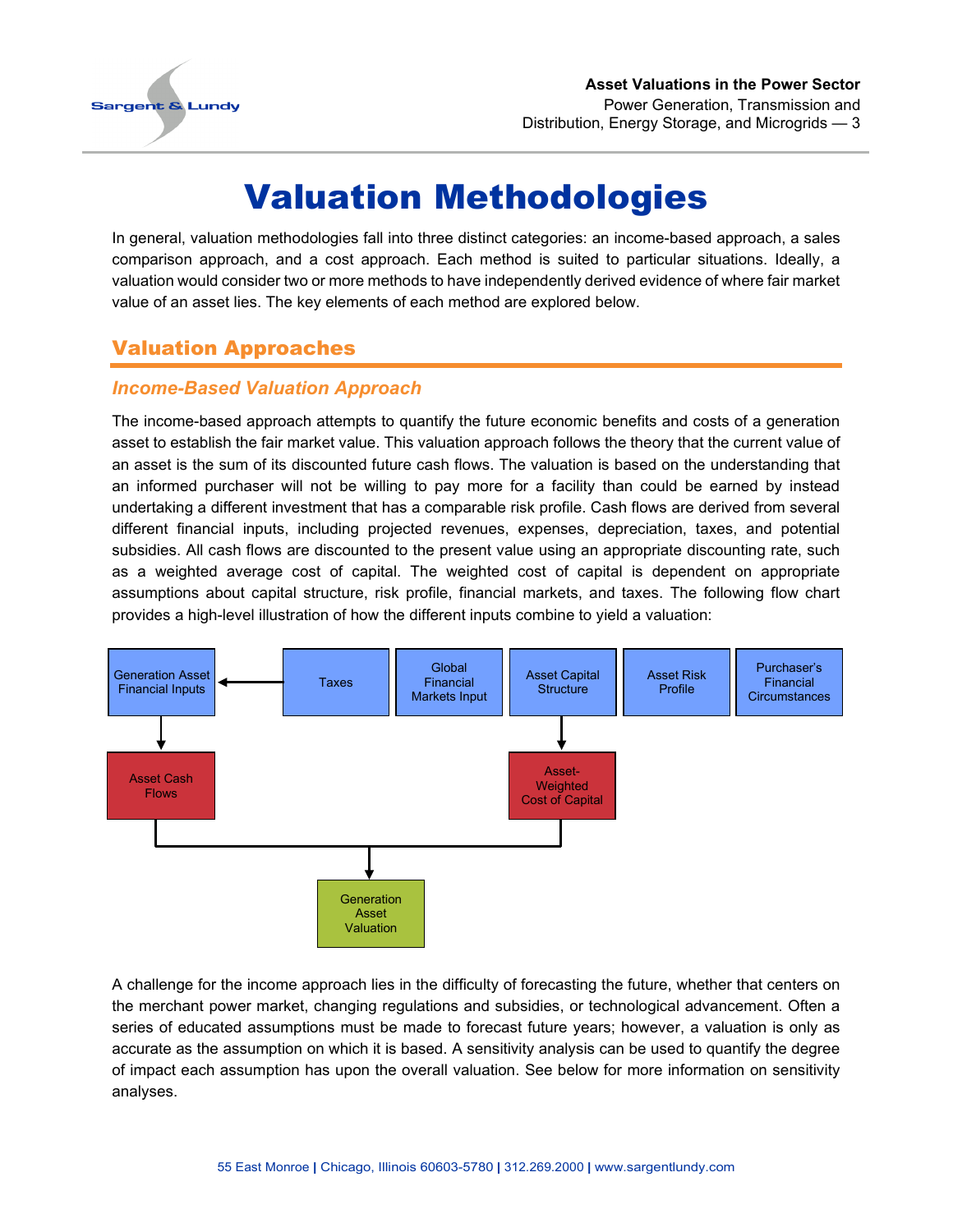

## Valuation Methodologies

<span id="page-4-0"></span>In general, valuation methodologies fall into three distinct categories: an income-based approach, a sales comparison approach, and a cost approach. Each method is suited to particular situations. Ideally, a valuation would consider two or more methods to have independently derived evidence of where fair market value of an asset lies. The key elements of each method are explored below.

#### <span id="page-4-1"></span>Valuation Approaches

#### *Income-Based Valuation Approach*

The income-based approach attempts to quantify the future economic benefits and costs of a generation asset to establish the fair market value. This valuation approach follows the theory that the current value of an asset is the sum of its discounted future cash flows. The valuation is based on the understanding that an informed purchaser will not be willing to pay more for a facility than could be earned by instead undertaking a different investment that has a comparable risk profile. Cash flows are derived from several different financial inputs, including projected revenues, expenses, depreciation, taxes, and potential subsidies. All cash flows are discounted to the present value using an appropriate discounting rate, such as a weighted average cost of capital. The weighted cost of capital is dependent on appropriate assumptions about capital structure, risk profile, financial markets, and taxes. The following flow chart provides a high-level illustration of how the different inputs combine to yield a valuation:



A challenge for the income approach lies in the difficulty of forecasting the future, whether that centers on the merchant power market, changing regulations and subsidies, or technological advancement. Often a series of educated assumptions must be made to forecast future years; however, a valuation is only as accurate as the assumption on which it is based. A sensitivity analysis can be used to quantify the degree of impact each assumption has upon the overall valuation. See below for more information on sensitivity analyses.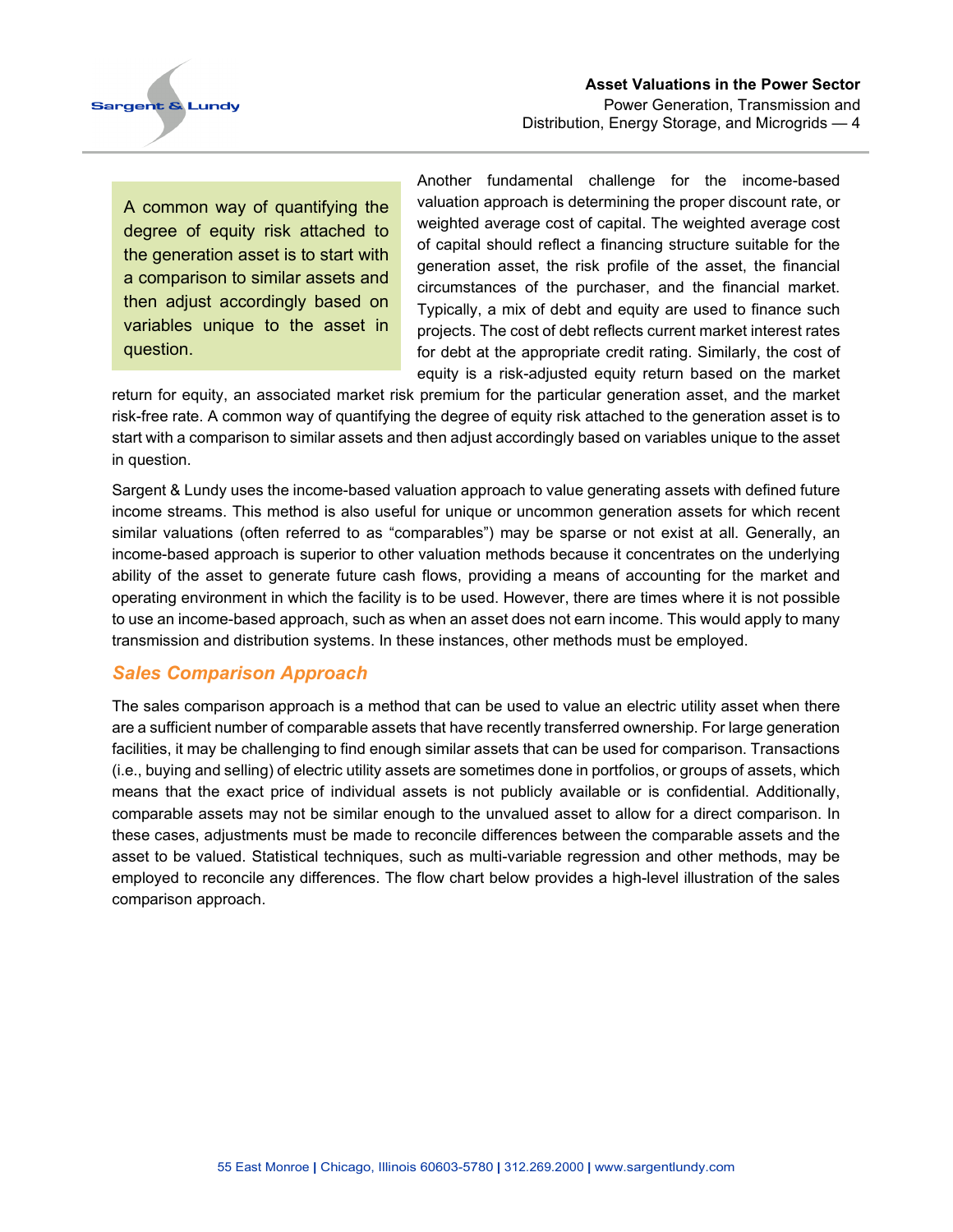**Sargent & Lundy** 

A common way of quantifying the degree of equity risk attached to the generation asset is to start with a comparison to similar assets and then adjust accordingly based on variables unique to the asset in question.

Another fundamental challenge for the income-based valuation approach is determining the proper discount rate, or weighted average cost of capital. The weighted average cost of capital should reflect a financing structure suitable for the generation asset, the risk profile of the asset, the financial circumstances of the purchaser, and the financial market. Typically, a mix of debt and equity are used to finance such projects. The cost of debt reflects current market interest rates for debt at the appropriate credit rating. Similarly, the cost of equity is a risk-adjusted equity return based on the market

return for equity, an associated market risk premium for the particular generation asset, and the market risk-free rate. A common way of quantifying the degree of equity risk attached to the generation asset is to start with a comparison to similar assets and then adjust accordingly based on variables unique to the asset in question.

Sargent & Lundy uses the income-based valuation approach to value generating assets with defined future income streams. This method is also useful for unique or uncommon generation assets for which recent similar valuations (often referred to as "comparables") may be sparse or not exist at all. Generally, an income-based approach is superior to other valuation methods because it concentrates on the underlying ability of the asset to generate future cash flows, providing a means of accounting for the market and operating environment in which the facility is to be used. However, there are times where it is not possible to use an income-based approach, such as when an asset does not earn income. This would apply to many transmission and distribution systems. In these instances, other methods must be employed.

#### *Sales Comparison Approach*

The sales comparison approach is a method that can be used to value an electric utility asset when there are a sufficient number of comparable assets that have recently transferred ownership. For large generation facilities, it may be challenging to find enough similar assets that can be used for comparison. Transactions (i.e., buying and selling) of electric utility assets are sometimes done in portfolios, or groups of assets, which means that the exact price of individual assets is not publicly available or is confidential. Additionally, comparable assets may not be similar enough to the unvalued asset to allow for a direct comparison. In these cases, adjustments must be made to reconcile differences between the comparable assets and the asset to be valued. Statistical techniques, such as multi-variable regression and other methods, may be employed to reconcile any differences. The flow chart below provides a high-level illustration of the sales comparison approach.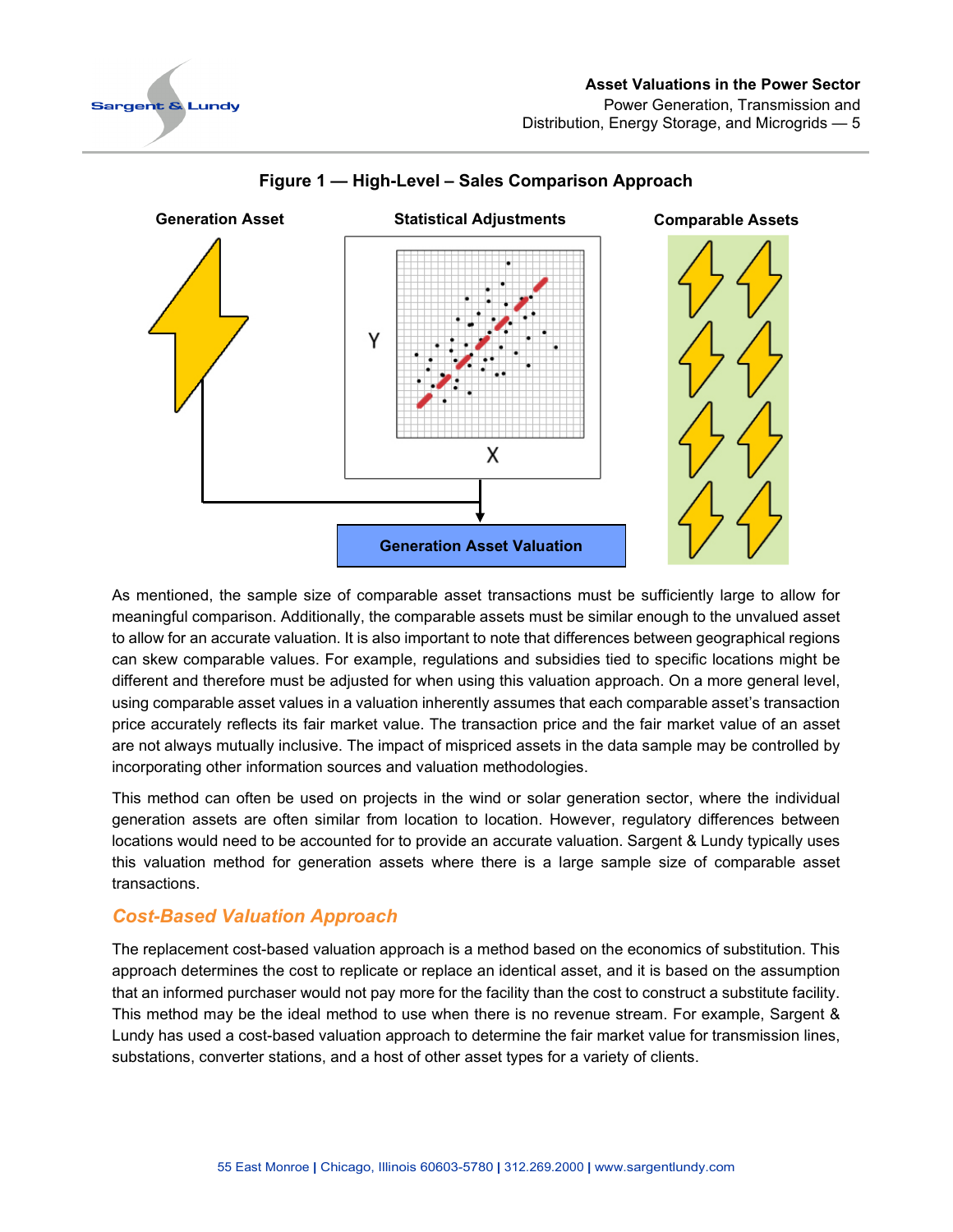

#### **Asset Valuations in the Power Sector** Power Generation, Transmission and Distribution, Energy Storage, and Microgrids — 5



#### **Figure 1 — High-Level – Sales Comparison Approach**

As mentioned, the sample size of comparable asset transactions must be sufficiently large to allow for meaningful comparison. Additionally, the comparable assets must be similar enough to the unvalued asset to allow for an accurate valuation. It is also important to note that differences between geographical regions can skew comparable values. For example, regulations and subsidies tied to specific locations might be different and therefore must be adjusted for when using this valuation approach. On a more general level, using comparable asset values in a valuation inherently assumes that each comparable asset's transaction price accurately reflects its fair market value. The transaction price and the fair market value of an asset are not always mutually inclusive. The impact of mispriced assets in the data sample may be controlled by incorporating other information sources and valuation methodologies.

This method can often be used on projects in the wind or solar generation sector, where the individual generation assets are often similar from location to location. However, regulatory differences between locations would need to be accounted for to provide an accurate valuation. Sargent & Lundy typically uses this valuation method for generation assets where there is a large sample size of comparable asset transactions.

#### *Cost-Based Valuation Approach*

The replacement cost-based valuation approach is a method based on the economics of substitution. This approach determines the cost to replicate or replace an identical asset, and it is based on the assumption that an informed purchaser would not pay more for the facility than the cost to construct a substitute facility. This method may be the ideal method to use when there is no revenue stream. For example, Sargent & Lundy has used a cost-based valuation approach to determine the fair market value for transmission lines, substations, converter stations, and a host of other asset types for a variety of clients.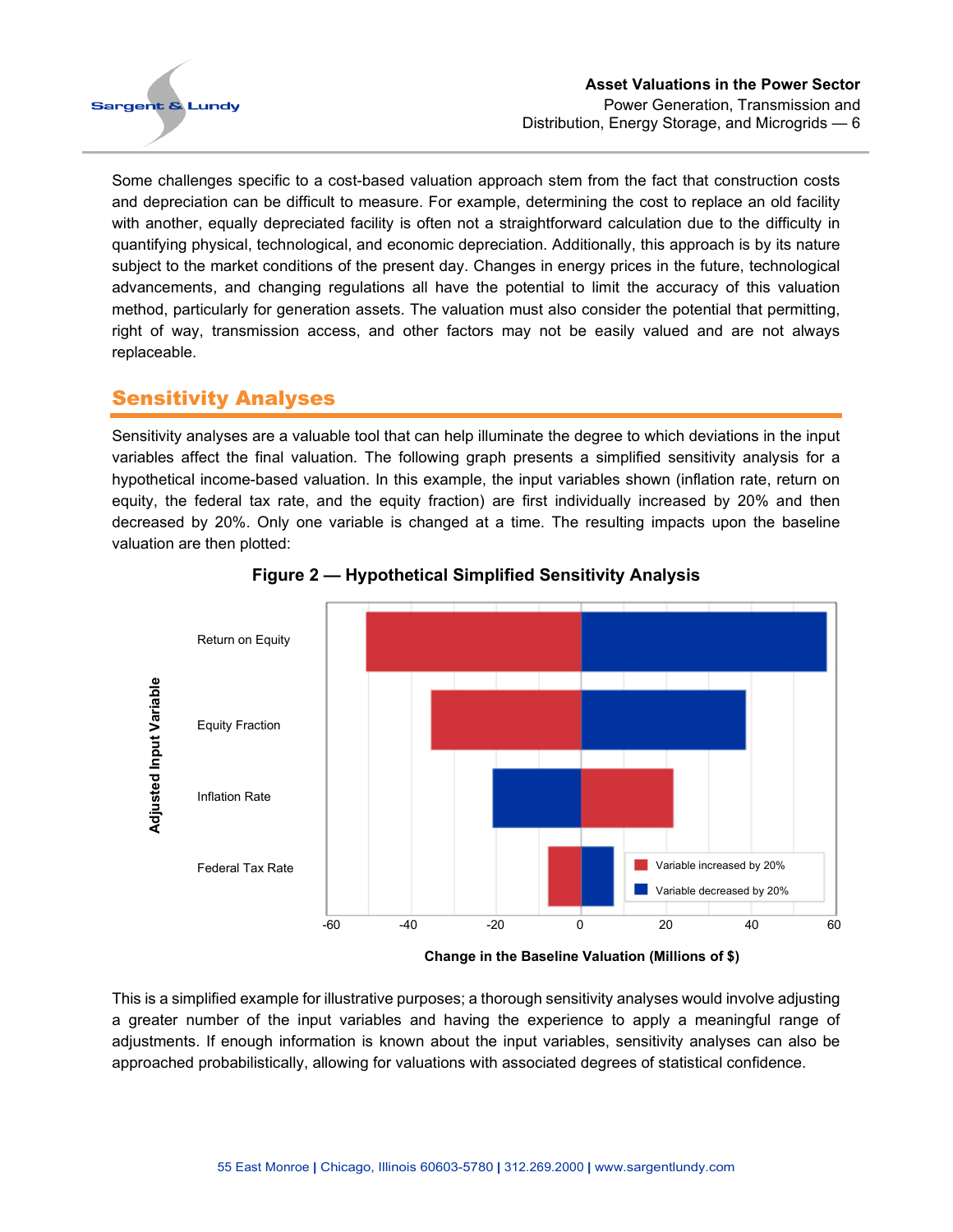

Some challenges specific to a cost-based valuation approach stem from the fact that construction costs and depreciation can be difficult to measure. For example, determining the cost to replace an old facility with another, equally depreciated facility is often not a straightforward calculation due to the difficulty in quantifying physical, technological, and economic depreciation. Additionally, this approach is by its nature subject to the market conditions of the present day. Changes in energy prices in the future, technological advancements, and changing regulations all have the potential to limit the accuracy of this valuation method, particularly for generation assets. The valuation must also consider the potential that permitting, right of way, transmission access, and other factors may not be easily valued and are not always replaceable.

#### <span id="page-7-0"></span>Sensitivity Analyses

Sensitivity analyses are a valuable tool that can help illuminate the degree to which deviations in the input variables affect the final valuation. The following graph presents a simplified sensitivity analysis for a hypothetical income-based valuation. In this example, the input variables shown (inflation rate, return on equity, the federal tax rate, and the equity fraction) are first individually increased by 20% and then decreased by 20%. Only one variable is changed at a time. The resulting impacts upon the baseline valuation are then plotted:



**Figure 2 — Hypothetical Simplified Sensitivity Analysis**

**Change in the Baseline Valuation (Millions of \$)**

This is a simplified example for illustrative purposes; a thorough sensitivity analyses would involve adjusting a greater number of the input variables and having the experience to apply a meaningful range of adjustments. If enough information is known about the input variables, sensitivity analyses can also be approached probabilistically, allowing for valuations with associated degrees of statistical confidence.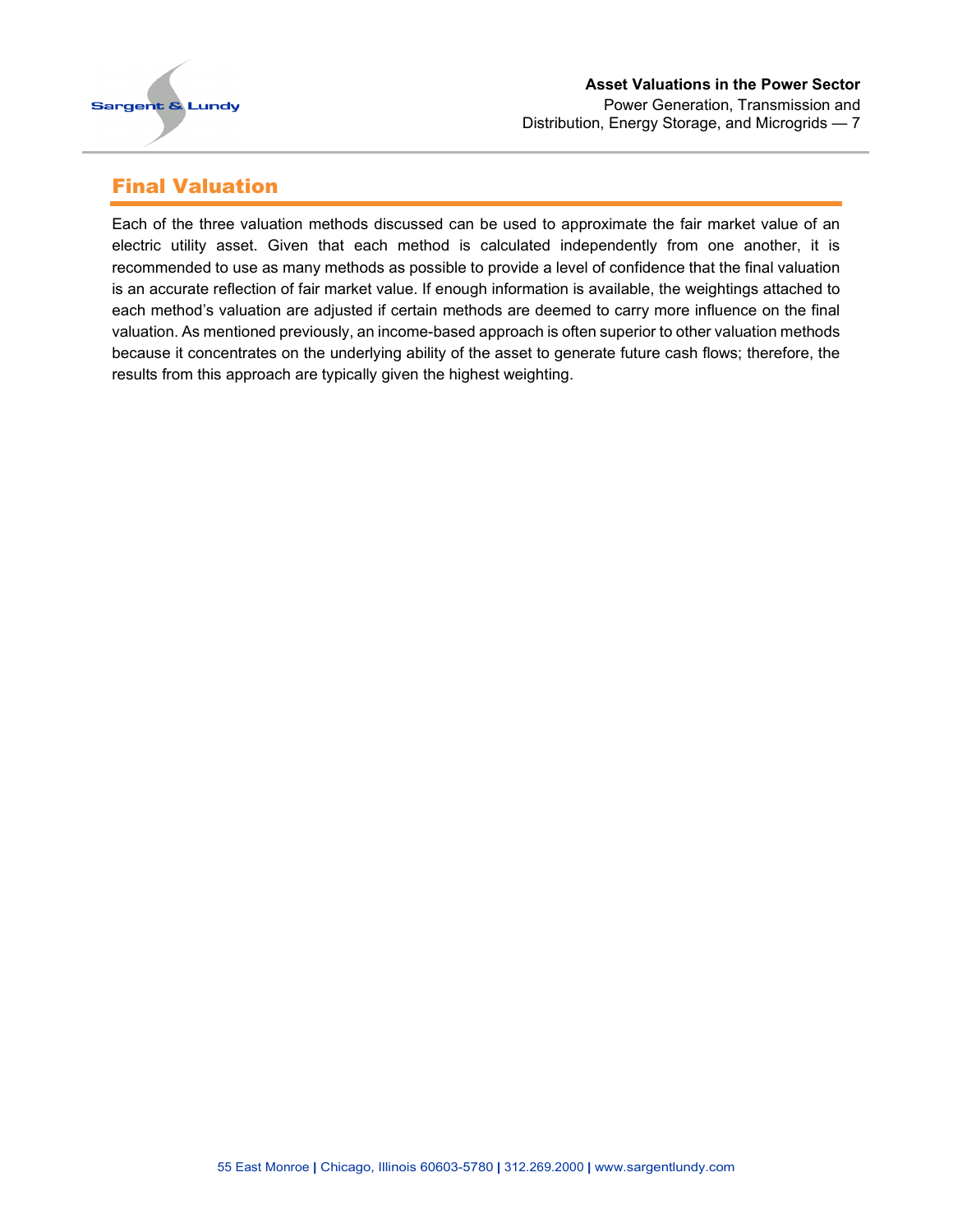

#### <span id="page-8-0"></span>Final Valuation

Each of the three valuation methods discussed can be used to approximate the fair market value of an electric utility asset. Given that each method is calculated independently from one another, it is recommended to use as many methods as possible to provide a level of confidence that the final valuation is an accurate reflection of fair market value. If enough information is available, the weightings attached to each method's valuation are adjusted if certain methods are deemed to carry more influence on the final valuation. As mentioned previously, an income-based approach is often superior to other valuation methods because it concentrates on the underlying ability of the asset to generate future cash flows; therefore, the results from this approach are typically given the highest weighting.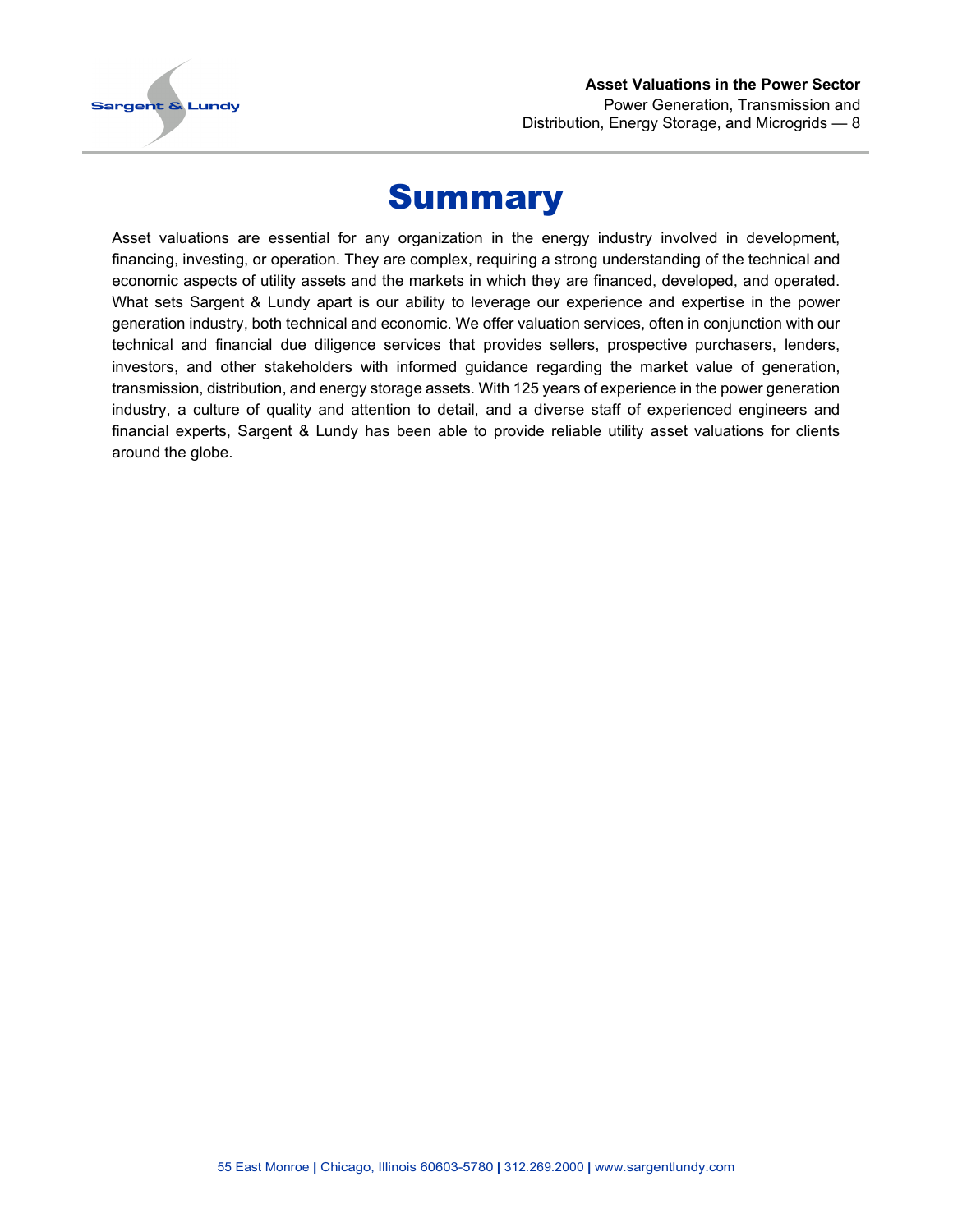

#### **Asset Valuations in the Power Sector** Power Generation, Transmission and Distribution, Energy Storage, and Microgrids — 8

### Summary

<span id="page-9-0"></span>Asset valuations are essential for any organization in the energy industry involved in development, financing, investing, or operation. They are complex, requiring a strong understanding of the technical and economic aspects of utility assets and the markets in which they are financed, developed, and operated. What sets Sargent & Lundy apart is our ability to leverage our experience and expertise in the power generation industry, both technical and economic. We offer valuation services, often in conjunction with our technical and financial due diligence services that provides sellers, prospective purchasers, lenders, investors, and other stakeholders with informed guidance regarding the market value of generation, transmission, distribution, and energy storage assets. With 125 years of experience in the power generation industry, a culture of quality and attention to detail, and a diverse staff of experienced engineers and financial experts, Sargent & Lundy has been able to provide reliable utility asset valuations for clients around the globe.